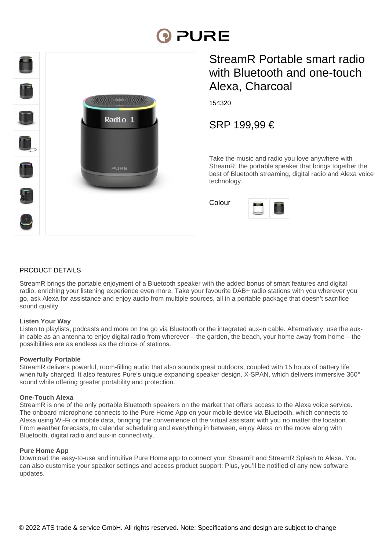# **DI PURE**



# StreamR Portable smart radio with Bluetooth and one-touch Alexa, Charcoal

154320

SRP 199,99 €

Take the music and radio you love anywhere with StreamR: the portable speaker that brings together the best of Bluetooth streaming, digital radio and Alexa voice technology.

Colour



#### PRODUCT DETAILS

StreamR brings the portable enjoyment of a Bluetooth speaker with the added bonus of smart features and digital radio, enriching your listening experience even more. Take your favourite DAB+ radio stations with you wherever you go, ask Alexa for assistance and enjoy audio from multiple sources, all in a portable package that doesn't sacrifice sound quality.

#### **Listen Your Way**

Listen to playlists, podcasts and more on the go via Bluetooth or the integrated aux-in cable. Alternatively, use the auxin cable as an antenna to enjoy digital radio from wherever – the garden, the beach, your home away from home – the possibilities are as endless as the choice of stations.

#### **Powerfully Portable**

StreamR delivers powerful, room-filling audio that also sounds great outdoors, coupled with 15 hours of battery life when fully charged. It also features Pure's unique expanding speaker design, X-SPAN, which delivers immersive 360° sound while offering greater portability and protection.

#### **One-Touch Alexa**

StreamR is one of the only portable Bluetooth speakers on the market that offers access to the Alexa voice service. The onboard microphone connects to the Pure Home App on your mobile device via Bluetooth, which connects to Alexa using Wi-Fi or mobile data, bringing the convenience of the virtual assistant with you no matter the location. From weather forecasts, to calendar scheduling and everything in between, enjoy Alexa on the move along with Bluetooth, digital radio and aux-in connectivity.

#### **Pure Home App**

Download the easy-to-use and intuitive Pure Home app to connect your StreamR and StreamR Splash to Alexa. You can also customise your speaker settings and access product support: Plus, you'll be notified of any new software updates.